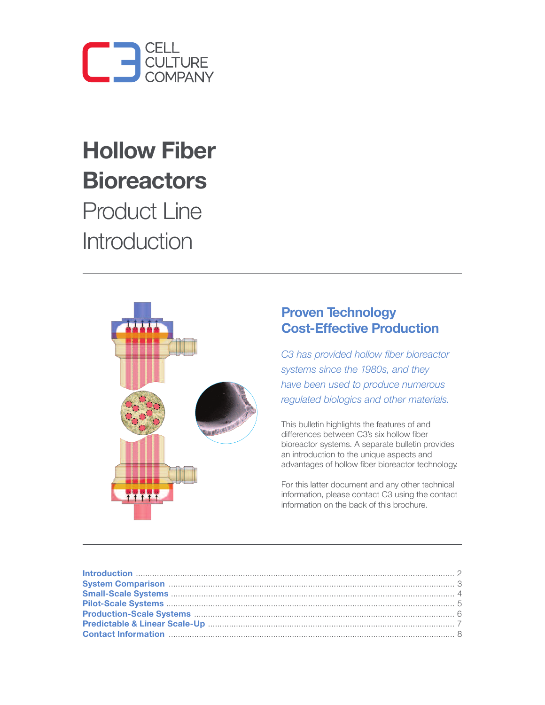

# **Hollow Fiber Bioreactors**

Product Line Introduction



#### **Proven Technology Cost-Effective Production**

*C3 has provided hollow fiber bioreactor systems since the 1980s, and they have been used to produce numerous regulated biologics and other materials.*

This bulletin highlights the features of and differences between C3's six hollow fiber bioreactor systems. A separate bulletin provides an introduction to the unique aspects and advantages of hollow fiber bioreactor technology.

For this latter document and any other technical information, please contact C3 using the contact information on the back of this brochure.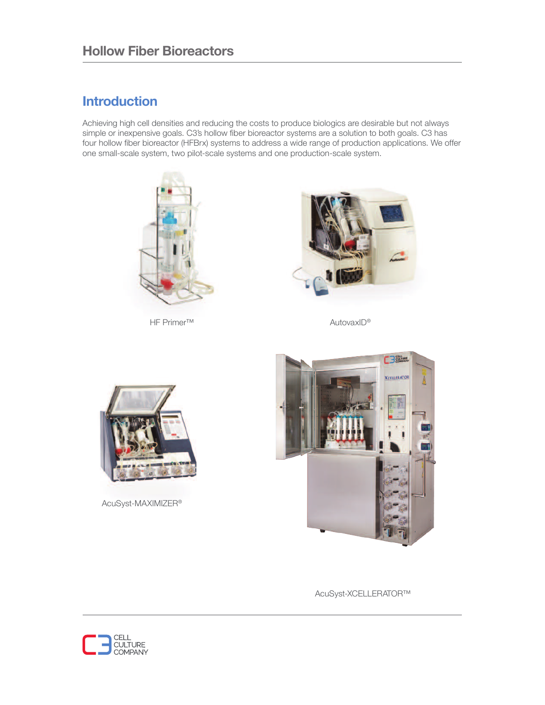### **Introduction**

Achieving high cell densities and reducing the costs to produce biologics are desirable but not always simple or inexpensive goals. C3's hollow fiber bioreactor systems are a solution to both goals. C3 has four hollow fiber bioreactor (HFBrx) systems to address a wide range of production applications. We offer one small-scale system, two pilot-scale systems and one production-scale system.



HF Primer™



AutovaxID®



AcuSyst-MAXIMIZER®



AcuSyst-XCELLERATOR™

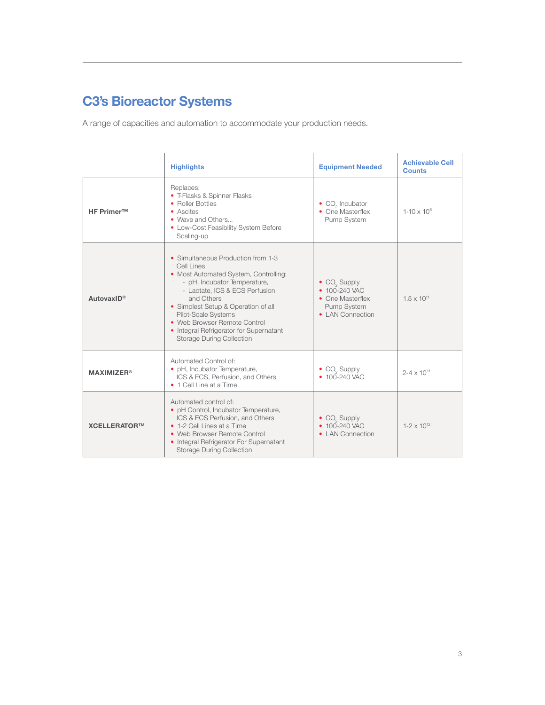## **C3's Bioreactor Systems**

A range of capacities and automation to accommodate your production needs.

|                              | <b>Highlights</b>                                                                                                                                                                                                                                                                                                                                      | <b>Equipment Needed</b>                                                                                 | <b>Achievable Cell</b><br><b>Counts</b> |
|------------------------------|--------------------------------------------------------------------------------------------------------------------------------------------------------------------------------------------------------------------------------------------------------------------------------------------------------------------------------------------------------|---------------------------------------------------------------------------------------------------------|-----------------------------------------|
| <b>HF Primer™</b>            | Replaces:<br>• T-Flasks & Spinner Flasks<br>• Roller Bottles<br>• Ascites<br>• Wave and Others<br>• Low-Cost Feasibility System Before<br>Scaling-up                                                                                                                                                                                                   | $\bullet$ CO <sub>2</sub> Incubator<br>• One Masterflex<br>Pump System                                  | $1 - 10 \times 10^{6}$                  |
| AutovaxID®                   | • Simultaneous Production from 1-3<br>Cell Lines<br>• Most Automated System, Controlling:<br>- pH, Incubator Temperature,<br>- Lactate, ICS & ECS Perfusion<br>and Others<br>• Simplest Setup & Operation of all<br>Pilot-Scale Systems<br>• Web Browser Remote Control<br>• Integral Refrigerator for Supernatant<br><b>Storage During Collection</b> | • CO <sub>2</sub> Supply<br>• 100-240 VAC<br>• One Masterflex<br><b>Pump System</b><br>• LAN Connection | $1.5 \times 10^{11}$                    |
| <b>MAXIMIZER<sup>®</sup></b> | Automated Control of:<br>• pH, Incubator Temperature,<br>ICS & ECS, Perfusion, and Others<br>• 1 Cell Line at a Time                                                                                                                                                                                                                                   | $\bullet$ CO <sub>2</sub> Supply<br>$\bullet$ 100-240 VAC                                               | $2 - 4 \times 10^{11}$                  |
| XCELLERATOR™                 | Automated control of:<br>• pH Control, Incubator Temperature,<br>ICS & ECS Perfusion, and Others<br>• 1-2 Cell Lines at a Time<br>• Web Browser Remote Control<br>• Integral Refrigerator For Supernatant<br><b>Storage During Collection</b>                                                                                                          | $\bullet$ CO <sub>2</sub> Supply<br>$\bullet$ 100-240 VAC<br>• LAN Connection                           | $1 - 2 \times 10^{12}$                  |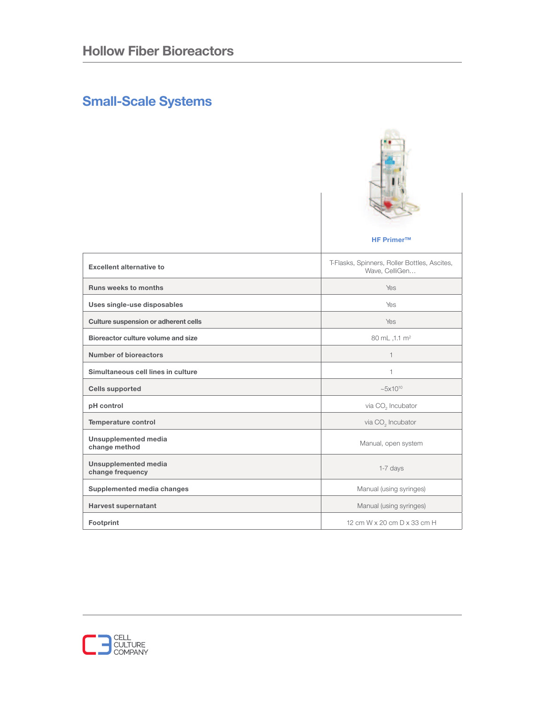## **Small-Scale Systems**

|                                                 | <b>HF Primer™</b>                                              |
|-------------------------------------------------|----------------------------------------------------------------|
| <b>Excellent alternative to</b>                 | T-Flasks, Spinners, Roller Bottles, Ascites,<br>Wave, CelliGen |
| <b>Runs weeks to months</b>                     | <b>Yes</b>                                                     |
| Uses single-use disposables                     | Yes                                                            |
| Culture suspension or adherent cells            | <b>Yes</b>                                                     |
| Bioreactor culture volume and size              | 80 mL ,1.1 m <sup>2</sup>                                      |
| <b>Number of bioreactors</b>                    | $\mathbf{1}$                                                   |
| Simultaneous cell lines in culture              | 1                                                              |
| <b>Cells supported</b>                          | $~5 \times 10^{10}$                                            |
| pH control                                      | via CO <sub>2</sub> Incubator                                  |
| Temperature control                             | via CO <sub>2</sub> Incubator                                  |
| <b>Unsupplemented media</b><br>change method    | Manual, open system                                            |
| <b>Unsupplemented media</b><br>change frequency | 1-7 days                                                       |
| Supplemented media changes                      | Manual (using syringes)                                        |
| <b>Harvest supernatant</b>                      | Manual (using syringes)                                        |
| Footprint                                       | 12 cm W x 20 cm D x 33 cm H                                    |

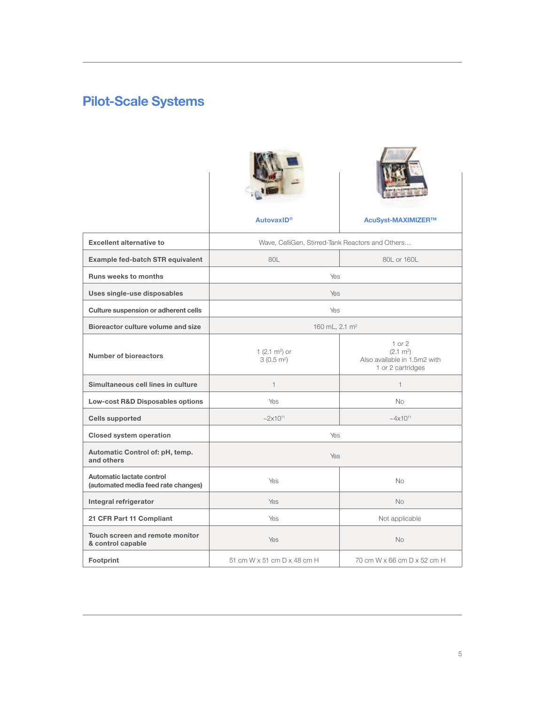# **Pilot-Scale Systems**





**AutovaxID® AcuSyst-MAXIMIZER™**

| <b>Excellent alternative to</b>                                  | Wave, CelliGen, Stirred-Tank Reactors and Others |                                                                                        |  |
|------------------------------------------------------------------|--------------------------------------------------|----------------------------------------------------------------------------------------|--|
| Example fed-batch STR equivalent                                 | 80L                                              | 80L or 160L                                                                            |  |
| <b>Runs weeks to months</b>                                      | Yes                                              |                                                                                        |  |
| Uses single-use disposables                                      | Yes.                                             |                                                                                        |  |
| Culture suspension or adherent cells                             | Yes                                              |                                                                                        |  |
| Bioreactor culture volume and size                               | 160 mL, 2.1 m <sup>2</sup>                       |                                                                                        |  |
| Number of bioreactors                                            | 1 $(2.1 \text{ m}^2)$ or<br>$3(0.5 \text{ m}^2)$ | $1$ or $2$<br>$(2.1 \text{ m}^2)$<br>Also available in 1.5m2 with<br>1 or 2 cartridges |  |
| Simultaneous cell lines in culture                               | $\mathbf{1}$                                     | $\mathbf{1}$                                                                           |  |
| Low-cost R&D Disposables options                                 | Yes                                              | No.                                                                                    |  |
| <b>Cells supported</b>                                           | $-2x10^{11}$                                     | $~10^{11}$                                                                             |  |
| <b>Closed system operation</b>                                   | Yes                                              |                                                                                        |  |
| Automatic Control of: pH, temp.<br>and others                    | Yes                                              |                                                                                        |  |
| Automatic lactate control<br>(automated media feed rate changes) | Yes                                              | <b>No</b>                                                                              |  |
| Integral refrigerator                                            | Yes                                              | No                                                                                     |  |
| 21 CFR Part 11 Compliant                                         | Yes                                              | Not applicable                                                                         |  |
| Touch screen and remote monitor<br>& control capable             | Yes                                              | No                                                                                     |  |
| Footprint                                                        | 51 cm W x 51 cm D x 48 cm H                      | 70 cm W x 66 cm D x 52 cm H                                                            |  |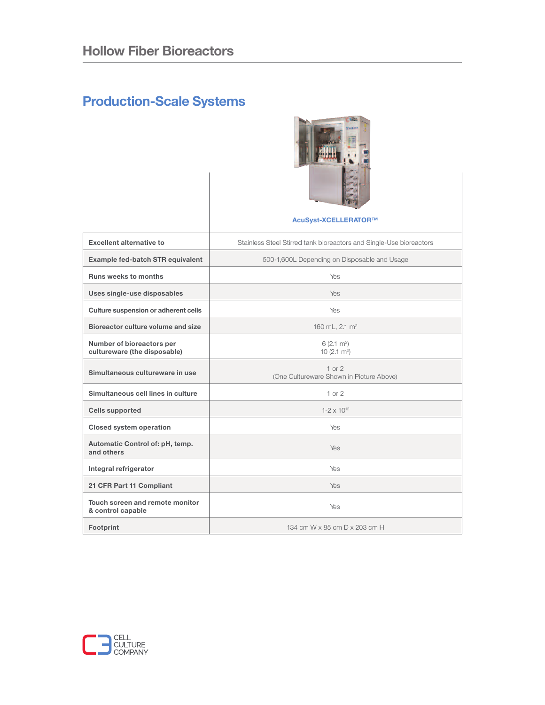# **Production-Scale Systems**



|                                                           | AcuSyst-XCELLERATOR™                                                |  |
|-----------------------------------------------------------|---------------------------------------------------------------------|--|
| <b>Excellent alternative to</b>                           | Stainless Steel Stirred tank bioreactors and Single-Use bioreactors |  |
| Example fed-batch STR equivalent                          | 500-1,600L Depending on Disposable and Usage                        |  |
| <b>Runs weeks to months</b>                               | Yes                                                                 |  |
| Uses single-use disposables                               | Yes                                                                 |  |
| Culture suspension or adherent cells                      | Yes                                                                 |  |
| Bioreactor culture volume and size                        | 160 mL, 2.1 m <sup>2</sup>                                          |  |
| Number of bioreactors per<br>cultureware (the disposable) | $6(2.1 \text{ m}^2)$<br>10 $(2.1 \text{ m}^2)$                      |  |
| Simultaneous cultureware in use                           | $1$ or $2$<br>(One Cultureware Shown in Picture Above)              |  |
| Simultaneous cell lines in culture                        | $1$ or $2$                                                          |  |
| <b>Cells supported</b>                                    | $1-2 \times 10^{12}$                                                |  |
| <b>Closed system operation</b>                            | Yes                                                                 |  |
| Automatic Control of: pH, temp.<br>and others             | Yes                                                                 |  |
| Integral refrigerator                                     | Yes                                                                 |  |
| 21 CFR Part 11 Compliant                                  | Yes                                                                 |  |
| Touch screen and remote monitor<br>& control capable      | Yes                                                                 |  |
| Footprint                                                 | 134 cm W x 85 cm D x 203 cm H                                       |  |

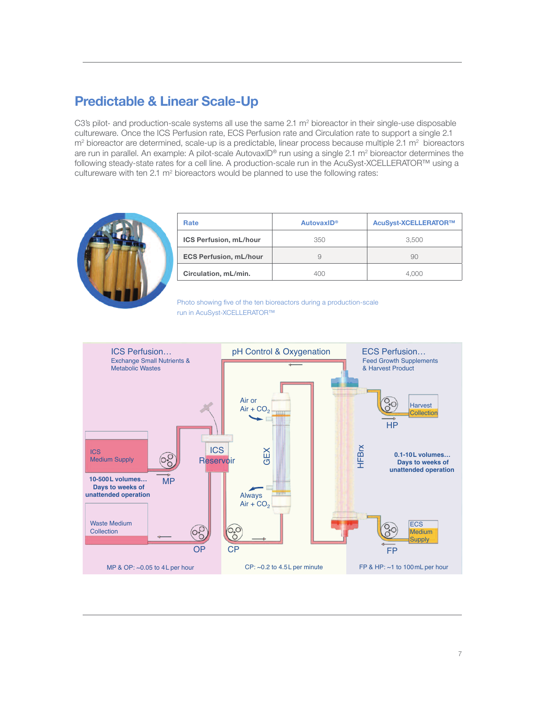#### **Predictable & Linear Scale-Up**

C3's pilot- and production-scale systems all use the same  $2.1 \text{ m}^2$  bioreactor in their single-use disposable cultureware. Once the ICS Perfusion rate, ECS Perfusion rate and Circulation rate to support a single 2.1  $m<sup>2</sup>$  bioreactor are determined, scale-up is a predictable, linear process because multiple 2.1  $m<sup>2</sup>$  bioreactors are run in parallel. An example: A pilot-scale AutovaxID® run using a single 2.1 m<sup>2</sup> bioreactor determines the following steady-state rates for a cell line. A production-scale run in the AcuSyst-XCELLERATOR™ using a cultureware with ten 2.1 m2 bioreactors would be planned to use the following rates:



| Rate                          | AutovaxID <sup>®</sup> | AcuSyst-XCELLERATOR™ |
|-------------------------------|------------------------|----------------------|
| <b>ICS Perfusion, mL/hour</b> | 350                    | 3.500                |
| <b>ECS Perfusion, mL/hour</b> | 9                      | 90                   |
| Circulation, mL/min.          | 400                    | 4.000                |

Photo showing five of the ten bioreactors during a production-scale run in AcuSyst-XCELLERATOR™